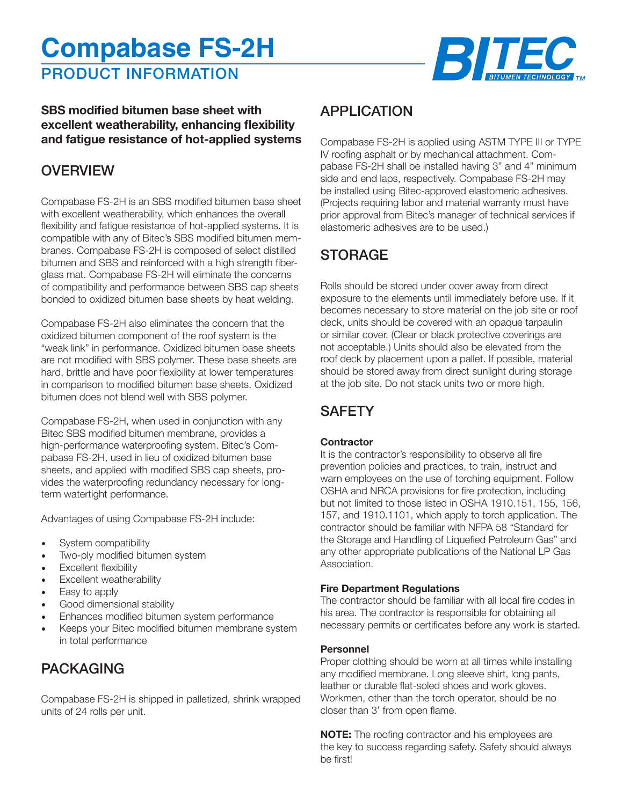# **Compabase FS-2H**





### **SBS modified bitumen base sheet with excellent weatherability, enhancing flexibility and fatigue resistance of hot-applied systems**

# **OVERVIEW**

Compabase FS-2H is an SBS modified bitumen base sheet with excellent weatherability, which enhances the overall flexibility and fatigue resistance of hot-applied systems. It is compatible with any of Bitec's SBS modified bitumen membranes. Compabase FS-2H is composed of select distilled bitumen and SBS and reinforced with a high strength fiberglass mat. Compabase FS-2H will eliminate the concerns of compatibility and performance between SBS cap sheets bonded to oxidized bitumen base sheets by heat welding.

Compabase FS-2H also eliminates the concern that the oxidized bitumen component of the roof system is the "weak link" in performance. Oxidized bitumen base sheets are not modified with SBS polymer. These base sheets are hard, brittle and have poor flexibility at lower temperatures in comparison to modified bitumen base sheets. Oxidized bitumen does not blend well with SBS polymer.

Compabase FS-2H, when used in conjunction with any Bitec SBS modified bitumen membrane, provides a high-performance waterproofing system. Bitec's Compabase FS-2H, used in lieu of oxidized bitumen base sheets, and applied with modified SBS cap sheets, provides the waterproofing redundancy necessary for longterm watertight performance.

Advantages of using Compabase FS-2H include:

- System compatibility
- Two-ply modified bitumen system
- Excellent flexibility
- Excellent weatherability
- Easy to apply
- Good dimensional stability
- Enhances modified bitumen system performance
- Keeps your Bitec modified bitumen membrane system in total performance

# PACKAGING

Compabase FS-2H is shipped in palletized, shrink wrapped units of 24 rolls per unit.

## APPLICATION

Compabase FS-2H is applied using ASTM TYPE III or TYPE IV roofing asphalt or by mechanical attachment. Compabase FS-2H shall be installed having 3" and 4" minimum side and end laps, respectively. Compabase FS-2H may be installed using Bitec-approved elastomeric adhesives. (Projects requiring labor and material warranty must have prior approval from Bitec's manager of technical services if elastomeric adhesives are to be used.)

# **STORAGE**

Rolls should be stored under cover away from direct exposure to the elements until immediately before use. If it becomes necessary to store material on the job site or roof deck, units should be covered with an opaque tarpaulin or similar cover. (Clear or black protective coverings are not acceptable.) Units should also be elevated from the roof deck by placement upon a pallet. If possible, material should be stored away from direct sunlight during storage at the job site. Do not stack units two or more high.

# **SAFETY**

#### **Contractor**

It is the contractor's responsibility to observe all fire prevention policies and practices, to train, instruct and warn employees on the use of torching equipment. Follow OSHA and NRCA provisions for fire protection, including but not limited to those listed in OSHA 1910.151, 155, 156, 157, and 1910.1101, which apply to torch application. The contractor should be familiar with NFPA 58 "Standard for the Storage and Handling of Liquefied Petroleum Gas" and any other appropriate publications of the National LP Gas Association.

#### **Fire Department Regulations**

The contractor should be familiar with all local fire codes in his area. The contractor is responsible for obtaining all necessary permits or certificates before any work is started.

#### **Personnel**

Proper clothing should be worn at all times while installing any modified membrane. Long sleeve shirt, long pants, leather or durable flat-soled shoes and work gloves. Workmen, other than the torch operator, should be no closer than 3' from open flame.

**NOTE:** The roofing contractor and his employees are the key to success regarding safety. Safety should always be first!